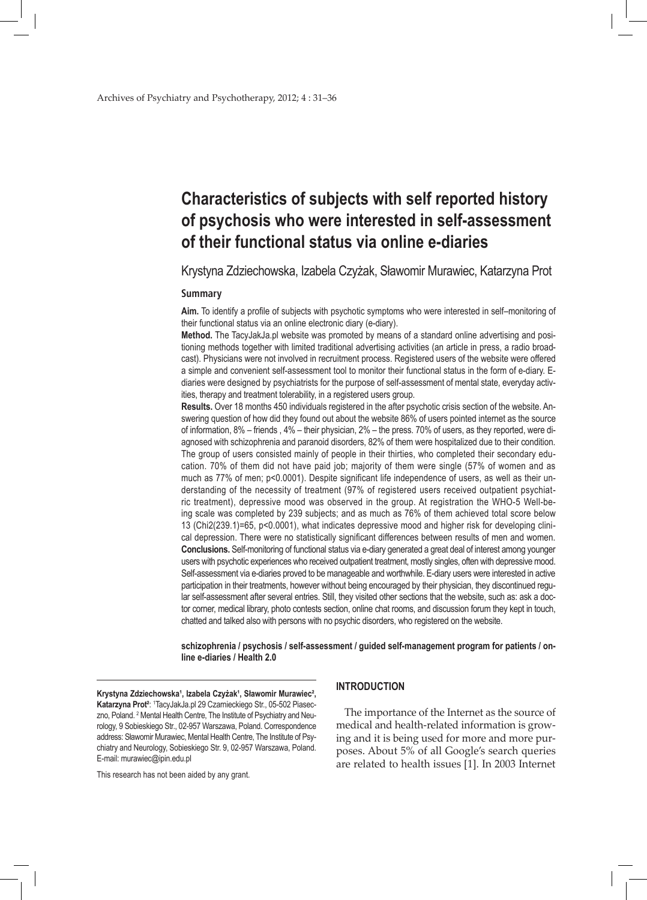# **Characteristics of subjects with self reported history of psychosis who were interested in self-assessment of their functional status via online e-diaries**

Krystyna Zdziechowska, Izabela Czyżak, Sławomir Murawiec, Katarzyna Prot

### **Summary**

**Aim.** To identify a profile of subjects with psychotic symptoms who were interested in self–monitoring of their functional status via an online electronic diary (e-diary).

**Method.** The TacyJakJa.pl website was promoted by means of a standard online advertising and positioning methods together with limited traditional advertising activities (an article in press, a radio broadcast). Physicians were not involved in recruitment process. Registered users of the website were offered a simple and convenient self-assessment tool to monitor their functional status in the form of e-diary. Ediaries were designed by psychiatrists for the purpose of self-assessment of mental state, everyday activities, therapy and treatment tolerability, in a registered users group.

**Results.** Over 18 months 450 individuals registered in the after psychotic crisis section of the website. Answering question of how did they found out about the website 86% of users pointed internet as the source of information, 8% – friends , 4% – their physician, 2% – the press. 70% of users, as they reported, were diagnosed with schizophrenia and paranoid disorders, 82% of them were hospitalized due to their condition. The group of users consisted mainly of people in their thirties, who completed their secondary education. 70% of them did not have paid job; majority of them were single (57% of women and as much as 77% of men; p<0.0001). Despite significant life independence of users, as well as their understanding of the necessity of treatment (97% of registered users received outpatient psychiatric treatment), depressive mood was observed in the group. At registration the WHO-5 Well-being scale was completed by 239 subjects; and as much as 76% of them achieved total score below 13 (Chi2(239.1)=65, p<0.0001), what indicates depressive mood and higher risk for developing clinical depression. There were no statistically significant differences between results of men and women. **Conclusions.** Self-monitoring of functional status via e-diary generated a great deal of interest among younger users with psychotic experiences who received outpatient treatment, mostly singles, often with depressive mood. Self-assessment via e-diaries proved to be manageable and worthwhile. E-diary users were interested in active participation in their treatments, however without being encouraged by their physician, they discontinued regular self-assessment after several entries. Still, they visited other sections that the website, such as: ask a doctor corner, medical library, photo contests section, online chat rooms, and discussion forum they kept in touch, chatted and talked also with persons with no psychic disorders, who registered on the website.

**schizophrenia / psychosis / self-assessment / guided self-management program for patients / online e-diaries / Health 2.0**

Krystyna Zdziechowska<sup>1</sup>, Izabela Czyżak<sup>1</sup>, Sławomir Murawiec<sup>2</sup>, Katarzyna Prot<sup>2</sup>: <sup>1</sup>TacyJakJa.pl 29 Czarnieckiego Str., 05-502 Piaseczno, Poland. <sup>2</sup> Mental Health Centre, The Institute of Psychiatry and Neurology, 9 Sobieskiego Str., 02-957 Warszawa, Poland. Correspondence address: Sławomir Murawiec, Mental Health Centre, The Institute of Psychiatry and Neurology, Sobieskiego Str. 9, 02-957 Warszawa, Poland. E-mail: murawiec@ipin.edu.pl

This research has not been aided by any grant.

## **INTRODUCTION**

The importance of the Internet as the source of medical and health-related information is growing and it is being used for more and more purposes. About 5% of all Google's search queries are related to health issues [1]. In 2003 Internet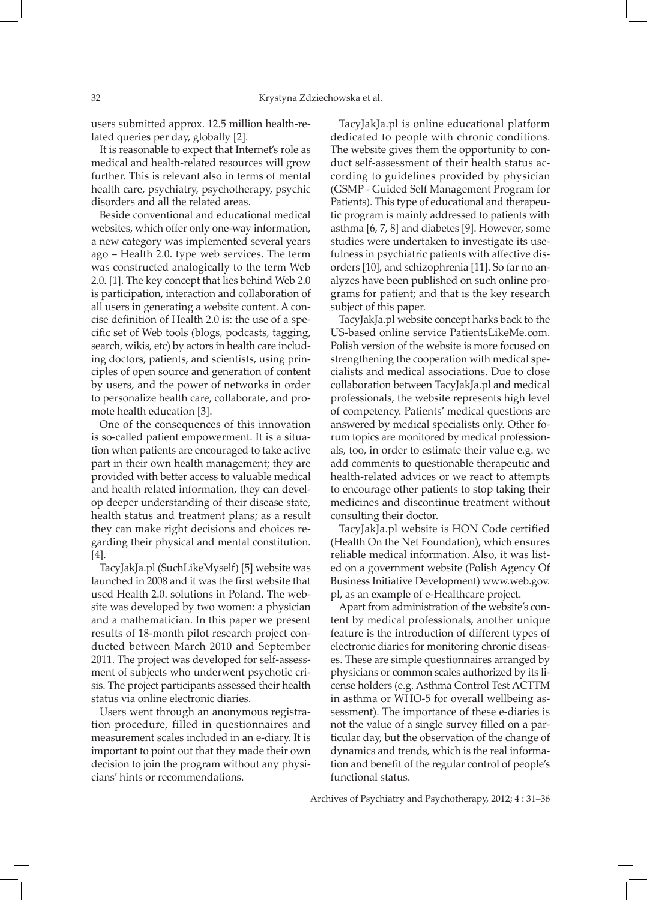users submitted approx. 12.5 million health-related queries per day, globally [2].

It is reasonable to expect that Internet's role as medical and health-related resources will grow further. This is relevant also in terms of mental health care, psychiatry, psychotherapy, psychic disorders and all the related areas.

Beside conventional and educational medical websites, which offer only one-way information, a new category was implemented several years ago – Health 2.0. type web services. The term was constructed analogically to the term Web 2.0. [1]. The key concept that lies behind Web 2.0 is participation, interaction and collaboration of all users in generating a website content. A concise definition of Health 2.0 is: the use of a specific set of Web tools (blogs, podcasts, tagging, search, wikis, etc) by actors in health care including doctors, patients, and scientists, using principles of open source and generation of content by users, and the power of networks in order to personalize health care, collaborate, and promote health education [3].

One of the consequences of this innovation is so-called patient empowerment. It is a situation when patients are encouraged to take active part in their own health management; they are provided with better access to valuable medical and health related information, they can develop deeper understanding of their disease state, health status and treatment plans; as a result they can make right decisions and choices regarding their physical and mental constitution. [4].

TacyJakJa.pl (SuchLikeMyself) [5] website was launched in 2008 and it was the first website that used Health 2.0. solutions in Poland. The website was developed by two women: a physician and a mathematician. In this paper we present results of 18-month pilot research project conducted between March 2010 and September 2011. The project was developed for self-assessment of subjects who underwent psychotic crisis. The project participants assessed their health status via online electronic diaries.

Users went through an anonymous registration procedure, filled in questionnaires and measurement scales included in an e-diary. It is important to point out that they made their own decision to join the program without any physicians' hints or recommendations.

TacyJakJa.pl is online educational platform dedicated to people with chronic conditions. The website gives them the opportunity to conduct self-assessment of their health status according to guidelines provided by physician (GSMP - Guided Self Management Program for Patients). This type of educational and therapeutic program is mainly addressed to patients with asthma [6, 7, 8] and diabetes [9]. However, some studies were undertaken to investigate its usefulness in psychiatric patients with affective disorders [10], and schizophrenia [11]. So far no analyzes have been published on such online programs for patient; and that is the key research subject of this paper.

TacyJakJa.pl website concept harks back to the US-based online service PatientsLikeMe.com. Polish version of the website is more focused on strengthening the cooperation with medical specialists and medical associations. Due to close collaboration between TacyJakJa.pl and medical professionals, the website represents high level of competency. Patients' medical questions are answered by medical specialists only. Other forum topics are monitored by medical professionals, too, in order to estimate their value e.g. we add comments to questionable therapeutic and health-related advices or we react to attempts to encourage other patients to stop taking their medicines and discontinue treatment without consulting their doctor.

TacyJakJa.pl website is HON Code certified (Health On the Net Foundation), which ensures reliable medical information. Also, it was listed on a government website (Polish Agency Of Business Initiative Development) www.web.gov. pl, as an example of e-Healthcare project.

Apart from administration of the website's content by medical professionals, another unique feature is the introduction of different types of electronic diaries for monitoring chronic diseases. These are simple questionnaires arranged by physicians or common scales authorized by its license holders (e.g. Asthma Control Test ACTTM in asthma or WHO-5 for overall wellbeing assessment). The importance of these e-diaries is not the value of a single survey filled on a particular day, but the observation of the change of dynamics and trends, which is the real information and benefit of the regular control of people's functional status.

Archives of Psychiatry and Psychotherapy, 2012; 4 : 31–36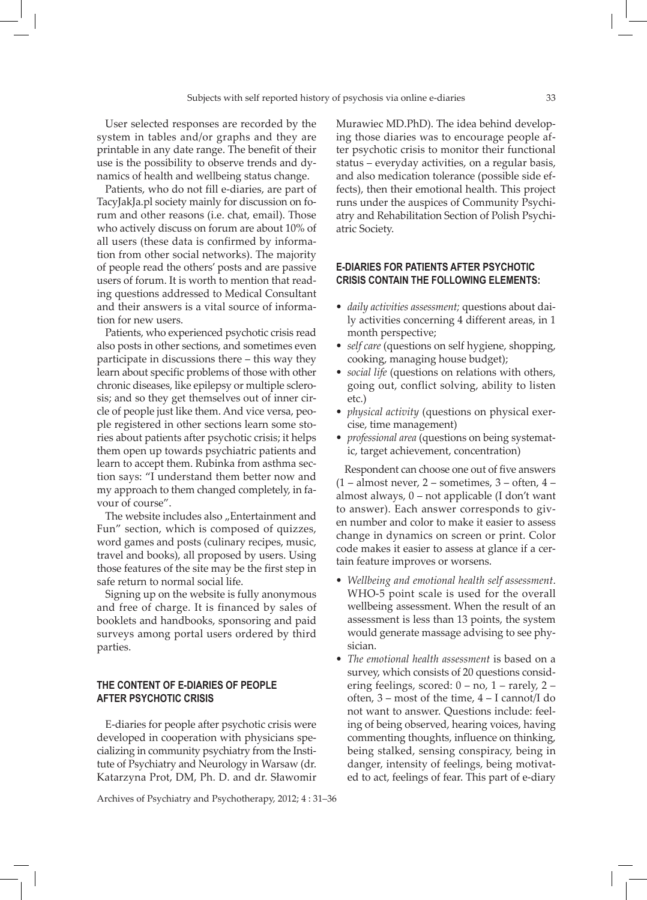User selected responses are recorded by the system in tables and/or graphs and they are printable in any date range. The benefit of their use is the possibility to observe trends and dynamics of health and wellbeing status change.

Patients, who do not fill e-diaries, are part of TacyJakJa.pl society mainly for discussion on forum and other reasons (i.e. chat, email). Those who actively discuss on forum are about 10% of all users (these data is confirmed by information from other social networks). The majority of people read the others' posts and are passive users of forum. It is worth to mention that reading questions addressed to Medical Consultant and their answers is a vital source of information for new users.

Patients, who experienced psychotic crisis read also posts in other sections, and sometimes even participate in discussions there – this way they learn about specific problems of those with other chronic diseases, like epilepsy or multiple sclerosis; and so they get themselves out of inner circle of people just like them. And vice versa, people registered in other sections learn some stories about patients after psychotic crisis; it helps them open up towards psychiatric patients and learn to accept them. Rubinka from asthma section says: "I understand them better now and my approach to them changed completely, in favour of course".

The website includes also "Entertainment and Fun" section, which is composed of quizzes, word games and posts (culinary recipes, music, travel and books), all proposed by users. Using those features of the site may be the first step in safe return to normal social life.

Signing up on the website is fully anonymous and free of charge. It is financed by sales of booklets and handbooks, sponsoring and paid surveys among portal users ordered by third parties.

## **The content of e-diaries of people after psychotic crisis**

E-diaries for people after psychotic crisis were developed in cooperation with physicians specializing in community psychiatry from the Institute of Psychiatry and Neurology in Warsaw (dr. Katarzyna Prot, DM, Ph. D. and dr. Sławomir

Archives of Psychiatry and Psychotherapy, 2012; 4 : 31–36

Murawiec MD.PhD). The idea behind developing those diaries was to encourage people after psychotic crisis to monitor their functional status – everyday activities, on a regular basis, and also medication tolerance (possible side effects), then their emotional health. This project runs under the auspices of Community Psychiatry and Rehabilitation Section of Polish Psychiatric Society.

# **E-diaries for patients after psychotic crisis contain the following elements:**

- *• daily activities assessment;* questions about daily activities concerning 4 different areas, in 1 month perspective;
- *• self care* (questions on self hygiene, shopping, cooking, managing house budget);
- *• social life* (questions on relations with others, going out, conflict solving, ability to listen etc.)
- *• physical activity* (questions on physical exercise, time management)
- *• professional area* (questions on being systematic, target achievement, concentration)

Respondent can choose one out of five answers  $(1 - \text{almost never}, 2 - \text{sometimes}, 3 - \text{often}, 4 - \text{``i'}$ almost always, 0 – not applicable (I don't want to answer). Each answer corresponds to given number and color to make it easier to assess change in dynamics on screen or print. Color code makes it easier to assess at glance if a certain feature improves or worsens.

- *• Wellbeing and emotional health self assessment*. WHO-5 point scale is used for the overall wellbeing assessment. When the result of an assessment is less than 13 points, the system would generate massage advising to see physician.
- *• The emotional health assessment* is based on a survey, which consists of 20 questions considering feelings, scored: 0 – no, 1 – rarely, 2 – often, 3 – most of the time, 4 – I cannot/I do not want to answer. Questions include: feeling of being observed, hearing voices, having commenting thoughts, influence on thinking, being stalked, sensing conspiracy, being in danger, intensity of feelings, being motivated to act, feelings of fear. This part of e-diary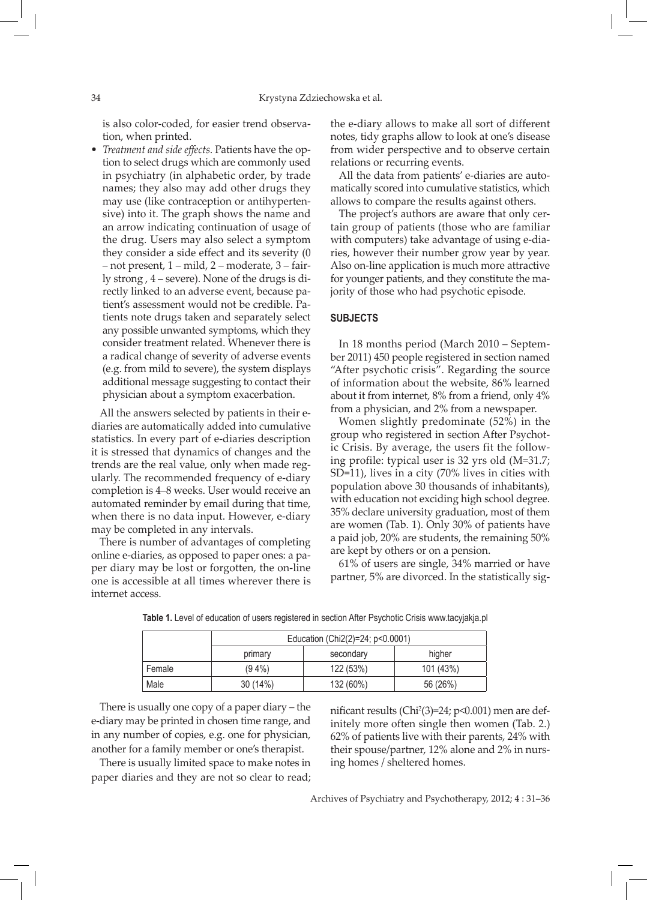is also color-coded, for easier trend observation, when printed.

*• Treatment and side effects*. Patients have the option to select drugs which are commonly used in psychiatry (in alphabetic order, by trade names; they also may add other drugs they may use (like contraception or antihypertensive) into it. The graph shows the name and an arrow indicating continuation of usage of the drug. Users may also select a symptom they consider a side effect and its severity (0 – not present, 1 – mild, 2 – moderate, 3 – fairly strong , 4 – severe). None of the drugs is directly linked to an adverse event, because patient's assessment would not be credible. Patients note drugs taken and separately select any possible unwanted symptoms, which they consider treatment related. Whenever there is a radical change of severity of adverse events (e.g. from mild to severe), the system displays additional message suggesting to contact their physician about a symptom exacerbation.

All the answers selected by patients in their ediaries are automatically added into cumulative statistics. In every part of e-diaries description it is stressed that dynamics of changes and the trends are the real value, only when made regularly. The recommended frequency of e-diary completion is 4–8 weeks. User would receive an automated reminder by email during that time, when there is no data input. However, e-diary may be completed in any intervals.

There is number of advantages of completing online e-diaries, as opposed to paper ones: a paper diary may be lost or forgotten, the on-line one is accessible at all times wherever there is internet access.

the e-diary allows to make all sort of different notes, tidy graphs allow to look at one's disease from wider perspective and to observe certain relations or recurring events.

All the data from patients' e-diaries are automatically scored into cumulative statistics, which allows to compare the results against others.

The project's authors are aware that only certain group of patients (those who are familiar with computers) take advantage of using e-diaries, however their number grow year by year. Also on-line application is much more attractive for younger patients, and they constitute the majority of those who had psychotic episode.

#### **SUBJECTS**

In 18 months period (March 2010 – September 2011) 450 people registered in section named "After psychotic crisis". Regarding the source of information about the website, 86% learned about it from internet, 8% from a friend, only 4% from a physician, and 2% from a newspaper.

Women slightly predominate (52%) in the group who registered in section After Psychotic Crisis. By average, the users fit the following profile: typical user is 32 yrs old (M=31.7; SD=11), lives in a city (70% lives in cities with population above 30 thousands of inhabitants), with education not exciding high school degree. 35% declare university graduation, most of them are women (Tab. 1). Only 30% of patients have a paid job, 20% are students, the remaining 50% are kept by others or on a pension.

61% of users are single, 34% married or have partner, 5% are divorced. In the statistically sig-

|        | Education (Chi2(2)=24; p<0.0001) |           |           |  |  |
|--------|----------------------------------|-----------|-----------|--|--|
|        | primary                          | secondary | higher    |  |  |
| Female | $(94\%)$                         | 122 (53%) | 101 (43%) |  |  |
| Male   | 30 (14%)                         | 132 (60%) | 56 (26%)  |  |  |

**Table 1.** Level of education of users registered in section After Psychotic Crisis www.tacyjakja.pl

There is usually one copy of a paper diary – the e-diary may be printed in chosen time range, and in any number of copies, e.g. one for physician, another for a family member or one's therapist.

There is usually limited space to make notes in paper diaries and they are not so clear to read;

nificant results (Chi2 (3)=24; p<0.001) men are definitely more often single then women (Tab. 2.) 62% of patients live with their parents, 24% with their spouse/partner, 12% alone and 2% in nursing homes / sheltered homes.

Archives of Psychiatry and Psychotherapy, 2012; 4 : 31–36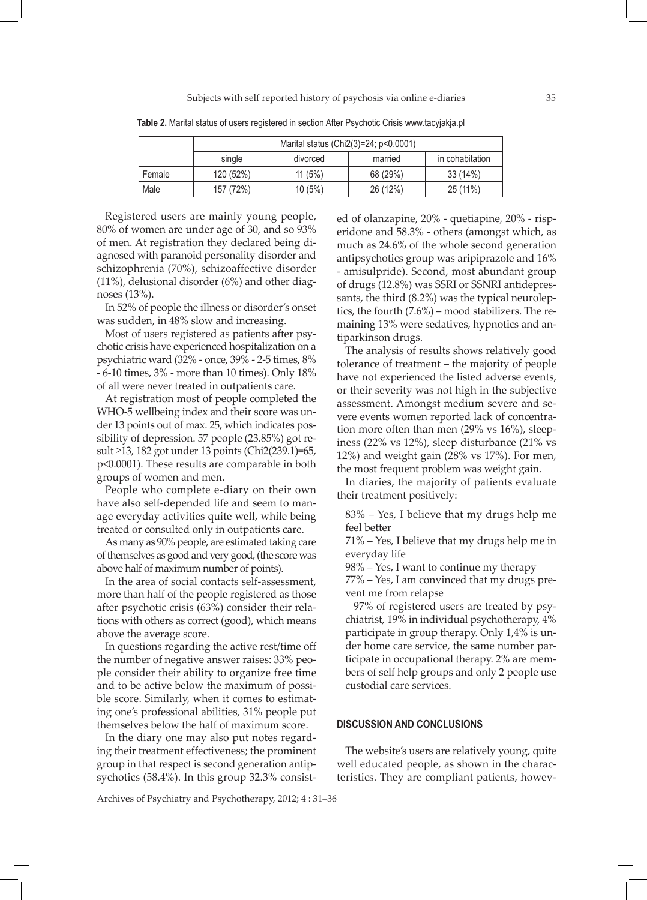|        | Marital status (Chi2(3)=24; p<0.0001) |          |          |                 |  |  |
|--------|---------------------------------------|----------|----------|-----------------|--|--|
|        | single                                | divorced | married  | in cohabitation |  |  |
| Female | 120 (52%)                             | 11(5%)   | 68 (29%) | 33 (14%)        |  |  |
| Male   | 157 (72%)                             | 10(5%)   | 26 (12%) | $25(11\%)$      |  |  |

**Table 2.** Marital status of users registered in section After Psychotic Crisis www.tacyjakja.pl

Registered users are mainly young people, 80% of women are under age of 30, and so 93% of men. At registration they declared being diagnosed with paranoid personality disorder and schizophrenia (70%), schizoaffective disorder (11%), delusional disorder (6%) and other diagnoses (13%).

In 52% of people the illness or disorder's onset was sudden, in 48% slow and increasing.

Most of users registered as patients after psychotic crisis have experienced hospitalization on a psychiatric ward (32% - once, 39% - 2-5 times, 8% - 6-10 times, 3% - more than 10 times). Only 18% of all were never treated in outpatients care.

At registration most of people completed the WHO-5 wellbeing index and their score was under 13 points out of max. 25, which indicates possibility of depression. 57 people (23.85%) got result ≥13, 182 got under 13 points (Chi2(239.1)=65, p<0.0001). These results are comparable in both groups of women and men.

People who complete e-diary on their own have also self-depended life and seem to manage everyday activities quite well, while being treated or consulted only in outpatients care.

As many as 90% people, are estimated taking care of themselves as good and very good, (the score was above half of maximum number of points).

In the area of social contacts self-assessment, more than half of the people registered as those after psychotic crisis (63%) consider their relations with others as correct (good), which means above the average score.

In questions regarding the active rest/time off the number of negative answer raises: 33% people consider their ability to organize free time and to be active below the maximum of possible score. Similarly, when it comes to estimating one's professional abilities, 31% people put themselves below the half of maximum score.

In the diary one may also put notes regarding their treatment effectiveness; the prominent group in that respect is second generation antipsychotics (58.4%). In this group 32.3% consisted of olanzapine, 20% - quetiapine, 20% - risperidone and 58.3% - others (amongst which, as much as 24.6% of the whole second generation antipsychotics group was aripiprazole and 16% - amisulpride). Second, most abundant group of drugs (12.8%) was SSRI or SSNRI antidepressants, the third (8.2%) was the typical neuroleptics, the fourth (7.6%) – mood stabilizers. The remaining 13% were sedatives, hypnotics and antiparkinson drugs.

The analysis of results shows relatively good tolerance of treatment – the majority of people have not experienced the listed adverse events, or their severity was not high in the subjective assessment. Amongst medium severe and severe events women reported lack of concentration more often than men (29% vs 16%), sleepiness (22% vs 12%), sleep disturbance (21% vs 12%) and weight gain (28% vs 17%). For men, the most frequent problem was weight gain.

In diaries, the majority of patients evaluate their treatment positively:

83% – Yes, I believe that my drugs help me feel better

71% – Yes, I believe that my drugs help me in everyday life

98% – Yes, I want to continue my therapy

77% – Yes, I am convinced that my drugs prevent me from relapse

97% of registered users are treated by psychiatrist, 19% in individual psychotherapy, 4% participate in group therapy. Only 1,4% is under home care service, the same number participate in occupational therapy. 2% are members of self help groups and only 2 people use custodial care services.

## **DISCUSSION AND CONCLUSIONS**

The website's users are relatively young, quite well educated people, as shown in the characteristics. They are compliant patients, howev-

Archives of Psychiatry and Psychotherapy, 2012; 4 : 31–36